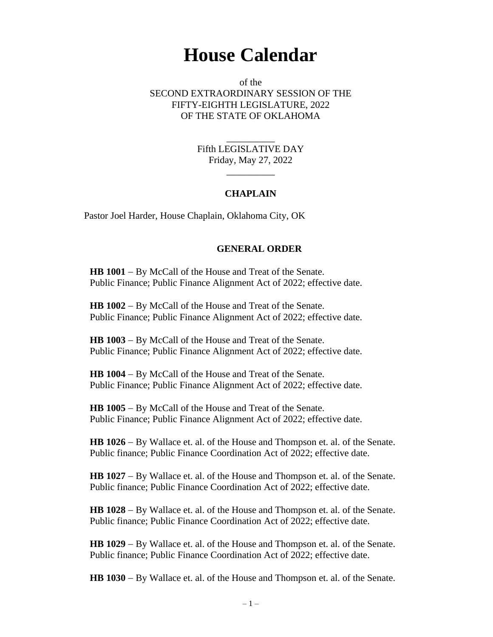## **House Calendar**

of the SECOND EXTRAORDINARY SESSION OF THE FIFTY-EIGHTH LEGISLATURE, 2022 OF THE STATE OF OKLAHOMA

> Fifth LEGISLATIVE DAY Friday, May 27, 2022

> > $\overline{\phantom{a}}$

\_\_\_\_\_\_\_\_\_\_

## **CHAPLAIN**

Pastor Joel Harder, House Chaplain, Oklahoma City, OK

## **GENERAL ORDER**

**HB 1001** − By McCall of the House and Treat of the Senate. Public Finance; Public Finance Alignment Act of 2022; effective date.

**HB 1002** − By McCall of the House and Treat of the Senate. Public Finance; Public Finance Alignment Act of 2022; effective date.

**HB 1003** − By McCall of the House and Treat of the Senate. Public Finance; Public Finance Alignment Act of 2022; effective date.

**HB 1004** − By McCall of the House and Treat of the Senate. Public Finance; Public Finance Alignment Act of 2022; effective date.

**HB 1005** − By McCall of the House and Treat of the Senate. Public Finance; Public Finance Alignment Act of 2022; effective date.

**HB 1026** − By Wallace et. al. of the House and Thompson et. al. of the Senate. Public finance; Public Finance Coordination Act of 2022; effective date.

**HB 1027** − By Wallace et. al. of the House and Thompson et. al. of the Senate. Public finance; Public Finance Coordination Act of 2022; effective date.

**HB 1028** − By Wallace et. al. of the House and Thompson et. al. of the Senate. Public finance; Public Finance Coordination Act of 2022; effective date.

**HB 1029** − By Wallace et. al. of the House and Thompson et. al. of the Senate. Public finance; Public Finance Coordination Act of 2022; effective date.

**HB 1030** − By Wallace et. al. of the House and Thompson et. al. of the Senate.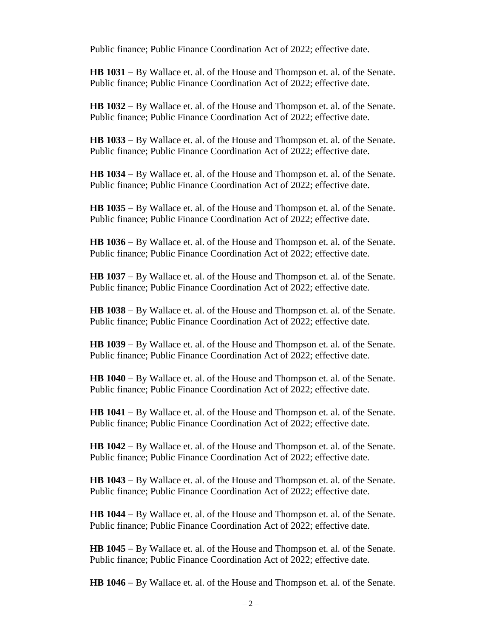Public finance; Public Finance Coordination Act of 2022; effective date.

**HB 1031** − By Wallace et. al. of the House and Thompson et. al. of the Senate. Public finance; Public Finance Coordination Act of 2022; effective date.

**HB 1032** − By Wallace et. al. of the House and Thompson et. al. of the Senate. Public finance; Public Finance Coordination Act of 2022; effective date.

**HB 1033** − By Wallace et. al. of the House and Thompson et. al. of the Senate. Public finance; Public Finance Coordination Act of 2022; effective date.

**HB 1034** − By Wallace et. al. of the House and Thompson et. al. of the Senate. Public finance; Public Finance Coordination Act of 2022; effective date.

**HB 1035** − By Wallace et. al. of the House and Thompson et. al. of the Senate. Public finance; Public Finance Coordination Act of 2022; effective date.

**HB 1036** − By Wallace et. al. of the House and Thompson et. al. of the Senate. Public finance; Public Finance Coordination Act of 2022; effective date.

**HB 1037** − By Wallace et. al. of the House and Thompson et. al. of the Senate. Public finance; Public Finance Coordination Act of 2022; effective date.

**HB 1038** − By Wallace et. al. of the House and Thompson et. al. of the Senate. Public finance; Public Finance Coordination Act of 2022; effective date.

**HB 1039** − By Wallace et. al. of the House and Thompson et. al. of the Senate. Public finance; Public Finance Coordination Act of 2022; effective date.

**HB 1040** − By Wallace et. al. of the House and Thompson et. al. of the Senate. Public finance; Public Finance Coordination Act of 2022; effective date.

**HB 1041** − By Wallace et. al. of the House and Thompson et. al. of the Senate. Public finance; Public Finance Coordination Act of 2022; effective date.

**HB 1042** − By Wallace et. al. of the House and Thompson et. al. of the Senate. Public finance; Public Finance Coordination Act of 2022; effective date.

**HB 1043** − By Wallace et. al. of the House and Thompson et. al. of the Senate. Public finance; Public Finance Coordination Act of 2022; effective date.

**HB 1044** − By Wallace et. al. of the House and Thompson et. al. of the Senate. Public finance; Public Finance Coordination Act of 2022; effective date.

**HB 1045** − By Wallace et. al. of the House and Thompson et. al. of the Senate. Public finance; Public Finance Coordination Act of 2022; effective date.

**HB 1046** − By Wallace et. al. of the House and Thompson et. al. of the Senate.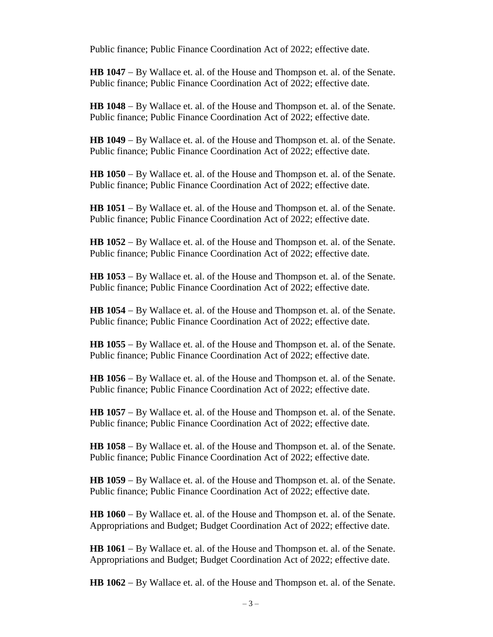Public finance; Public Finance Coordination Act of 2022; effective date.

**HB 1047** − By Wallace et. al. of the House and Thompson et. al. of the Senate. Public finance; Public Finance Coordination Act of 2022; effective date.

**HB 1048** − By Wallace et. al. of the House and Thompson et. al. of the Senate. Public finance; Public Finance Coordination Act of 2022; effective date.

**HB 1049** − By Wallace et. al. of the House and Thompson et. al. of the Senate. Public finance; Public Finance Coordination Act of 2022; effective date.

**HB 1050** − By Wallace et. al. of the House and Thompson et. al. of the Senate. Public finance; Public Finance Coordination Act of 2022; effective date.

**HB 1051** − By Wallace et. al. of the House and Thompson et. al. of the Senate. Public finance; Public Finance Coordination Act of 2022; effective date.

**HB 1052** − By Wallace et. al. of the House and Thompson et. al. of the Senate. Public finance; Public Finance Coordination Act of 2022; effective date.

**HB 1053** − By Wallace et. al. of the House and Thompson et. al. of the Senate. Public finance; Public Finance Coordination Act of 2022; effective date.

**HB 1054** − By Wallace et. al. of the House and Thompson et. al. of the Senate. Public finance; Public Finance Coordination Act of 2022; effective date.

**HB 1055** − By Wallace et. al. of the House and Thompson et. al. of the Senate. Public finance; Public Finance Coordination Act of 2022; effective date.

**HB 1056** − By Wallace et. al. of the House and Thompson et. al. of the Senate. Public finance; Public Finance Coordination Act of 2022; effective date.

**HB 1057** − By Wallace et. al. of the House and Thompson et. al. of the Senate. Public finance; Public Finance Coordination Act of 2022; effective date.

**HB 1058** − By Wallace et. al. of the House and Thompson et. al. of the Senate. Public finance; Public Finance Coordination Act of 2022; effective date.

**HB 1059** − By Wallace et. al. of the House and Thompson et. al. of the Senate. Public finance; Public Finance Coordination Act of 2022; effective date.

**HB 1060** − By Wallace et. al. of the House and Thompson et. al. of the Senate. Appropriations and Budget; Budget Coordination Act of 2022; effective date.

**HB 1061** − By Wallace et. al. of the House and Thompson et. al. of the Senate. Appropriations and Budget; Budget Coordination Act of 2022; effective date.

**HB 1062** − By Wallace et. al. of the House and Thompson et. al. of the Senate.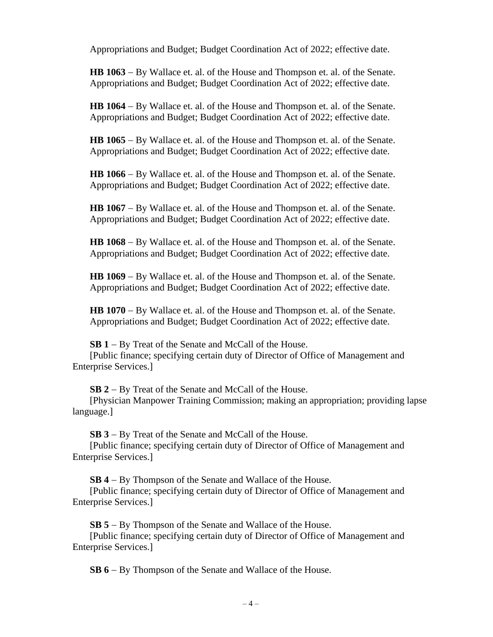Appropriations and Budget; Budget Coordination Act of 2022; effective date.

**HB 1063** − By Wallace et. al. of the House and Thompson et. al. of the Senate. Appropriations and Budget; Budget Coordination Act of 2022; effective date.

**HB 1064** − By Wallace et. al. of the House and Thompson et. al. of the Senate. Appropriations and Budget; Budget Coordination Act of 2022; effective date.

**HB 1065** − By Wallace et. al. of the House and Thompson et. al. of the Senate. Appropriations and Budget; Budget Coordination Act of 2022; effective date.

**HB 1066** − By Wallace et. al. of the House and Thompson et. al. of the Senate. Appropriations and Budget; Budget Coordination Act of 2022; effective date.

**HB 1067** − By Wallace et. al. of the House and Thompson et. al. of the Senate. Appropriations and Budget; Budget Coordination Act of 2022; effective date.

**HB 1068** − By Wallace et. al. of the House and Thompson et. al. of the Senate. Appropriations and Budget; Budget Coordination Act of 2022; effective date.

**HB 1069** − By Wallace et. al. of the House and Thompson et. al. of the Senate. Appropriations and Budget; Budget Coordination Act of 2022; effective date.

**HB 1070** − By Wallace et. al. of the House and Thompson et. al. of the Senate. Appropriations and Budget; Budget Coordination Act of 2022; effective date.

**SB 1** − By Treat of the Senate and McCall of the House.

[Public finance; specifying certain duty of Director of Office of Management and Enterprise Services.]

**SB 2** − By Treat of the Senate and McCall of the House.

[Physician Manpower Training Commission; making an appropriation; providing lapse language.]

**SB 3** − By Treat of the Senate and McCall of the House.

[Public finance; specifying certain duty of Director of Office of Management and Enterprise Services.]

**SB 4** − By Thompson of the Senate and Wallace of the House.

[Public finance; specifying certain duty of Director of Office of Management and Enterprise Services.]

**SB 5** − By Thompson of the Senate and Wallace of the House.

[Public finance; specifying certain duty of Director of Office of Management and Enterprise Services.]

**SB 6** − By Thompson of the Senate and Wallace of the House.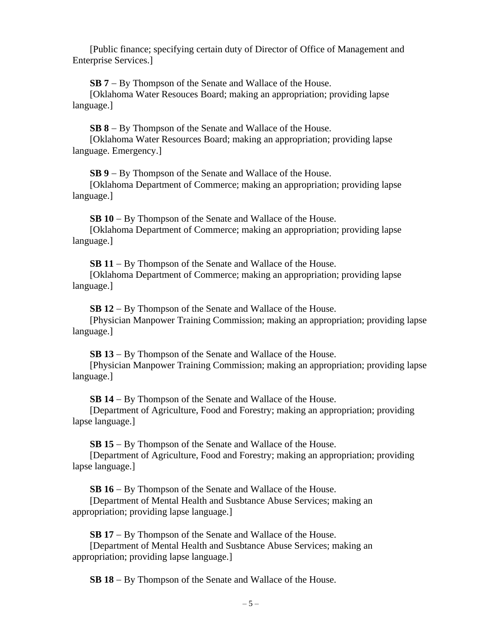[Public finance; specifying certain duty of Director of Office of Management and Enterprise Services.]

**SB 7** − By Thompson of the Senate and Wallace of the House.

[Oklahoma Water Resouces Board; making an appropriation; providing lapse language.]

**SB 8** − By Thompson of the Senate and Wallace of the House.

[Oklahoma Water Resources Board; making an appropriation; providing lapse language. Emergency.]

**SB 9** − By Thompson of the Senate and Wallace of the House.

[Oklahoma Department of Commerce; making an appropriation; providing lapse language.]

**SB 10** − By Thompson of the Senate and Wallace of the House.

[Oklahoma Department of Commerce; making an appropriation; providing lapse language.]

**SB 11** − By Thompson of the Senate and Wallace of the House.

[Oklahoma Department of Commerce; making an appropriation; providing lapse language.]

**SB 12** − By Thompson of the Senate and Wallace of the House.

[Physician Manpower Training Commission; making an appropriation; providing lapse language.]

**SB 13** − By Thompson of the Senate and Wallace of the House.

[Physician Manpower Training Commission; making an appropriation; providing lapse language.]

**SB 14** − By Thompson of the Senate and Wallace of the House.

[Department of Agriculture, Food and Forestry; making an appropriation; providing lapse language.]

**SB 15** − By Thompson of the Senate and Wallace of the House.

[Department of Agriculture, Food and Forestry; making an appropriation; providing lapse language.]

**SB 16** − By Thompson of the Senate and Wallace of the House.

[Department of Mental Health and Susbtance Abuse Services; making an appropriation; providing lapse language.]

**SB 17** − By Thompson of the Senate and Wallace of the House.

[Department of Mental Health and Susbtance Abuse Services; making an appropriation; providing lapse language.]

**SB 18** − By Thompson of the Senate and Wallace of the House.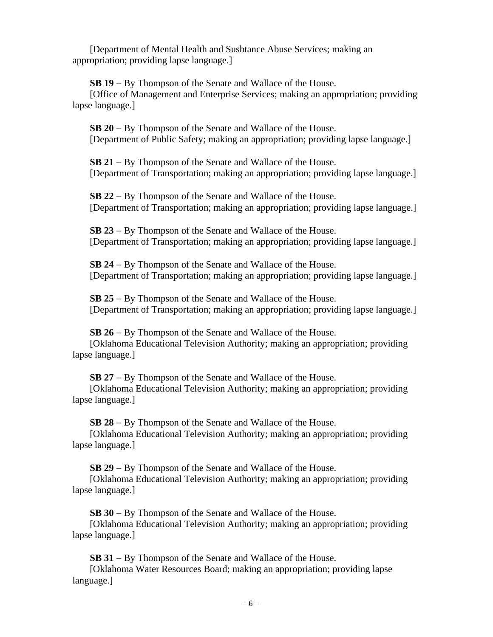[Department of Mental Health and Susbtance Abuse Services; making an appropriation; providing lapse language.]

**SB 19** − By Thompson of the Senate and Wallace of the House.

[Office of Management and Enterprise Services; making an appropriation; providing lapse language.]

**SB 20** − By Thompson of the Senate and Wallace of the House. [Department of Public Safety; making an appropriation; providing lapse language.]

**SB 21** − By Thompson of the Senate and Wallace of the House. [Department of Transportation; making an appropriation; providing lapse language.]

**SB 22** − By Thompson of the Senate and Wallace of the House. [Department of Transportation; making an appropriation; providing lapse language.]

**SB 23** − By Thompson of the Senate and Wallace of the House. [Department of Transportation; making an appropriation; providing lapse language.]

**SB 24** − By Thompson of the Senate and Wallace of the House. [Department of Transportation; making an appropriation; providing lapse language.]

**SB 25** − By Thompson of the Senate and Wallace of the House. [Department of Transportation; making an appropriation; providing lapse language.]

**SB 26** − By Thompson of the Senate and Wallace of the House.

[Oklahoma Educational Television Authority; making an appropriation; providing lapse language.]

**SB 27** − By Thompson of the Senate and Wallace of the House.

[Oklahoma Educational Television Authority; making an appropriation; providing lapse language.]

**SB 28** − By Thompson of the Senate and Wallace of the House.

[Oklahoma Educational Television Authority; making an appropriation; providing lapse language.]

**SB 29** − By Thompson of the Senate and Wallace of the House.

[Oklahoma Educational Television Authority; making an appropriation; providing lapse language.]

**SB 30** − By Thompson of the Senate and Wallace of the House.

[Oklahoma Educational Television Authority; making an appropriation; providing lapse language.]

**SB 31** − By Thompson of the Senate and Wallace of the House.

[Oklahoma Water Resources Board; making an appropriation; providing lapse language.]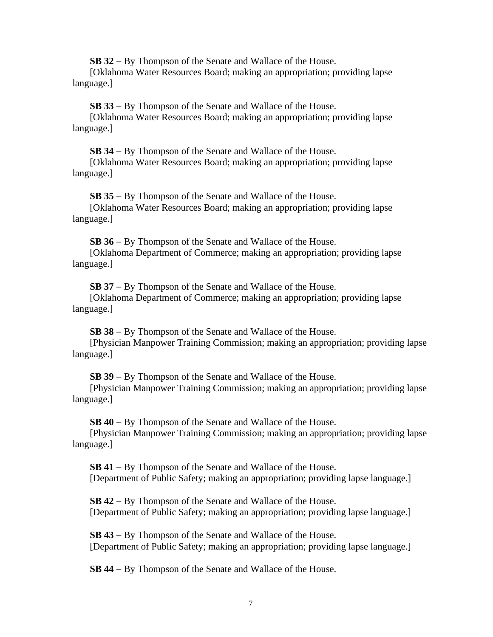**SB 32** − By Thompson of the Senate and Wallace of the House.

[Oklahoma Water Resources Board; making an appropriation; providing lapse language.]

**SB 33** − By Thompson of the Senate and Wallace of the House.

[Oklahoma Water Resources Board; making an appropriation; providing lapse language.]

**SB 34** − By Thompson of the Senate and Wallace of the House.

[Oklahoma Water Resources Board; making an appropriation; providing lapse language.]

**SB 35** − By Thompson of the Senate and Wallace of the House. [Oklahoma Water Resources Board; making an appropriation; providing lapse language.]

**SB 36** − By Thompson of the Senate and Wallace of the House.

[Oklahoma Department of Commerce; making an appropriation; providing lapse language.]

**SB 37** − By Thompson of the Senate and Wallace of the House.

[Oklahoma Department of Commerce; making an appropriation; providing lapse language.]

**SB 38** − By Thompson of the Senate and Wallace of the House.

[Physician Manpower Training Commission; making an appropriation; providing lapse language.]

**SB 39** − By Thompson of the Senate and Wallace of the House.

[Physician Manpower Training Commission; making an appropriation; providing lapse language.]

**SB 40** − By Thompson of the Senate and Wallace of the House.

[Physician Manpower Training Commission; making an appropriation; providing lapse language.]

**SB 41** − By Thompson of the Senate and Wallace of the House. [Department of Public Safety; making an appropriation; providing lapse language.]

**SB 42** − By Thompson of the Senate and Wallace of the House. [Department of Public Safety; making an appropriation; providing lapse language.]

**SB 43** − By Thompson of the Senate and Wallace of the House. [Department of Public Safety; making an appropriation; providing lapse language.]

**SB 44** − By Thompson of the Senate and Wallace of the House.